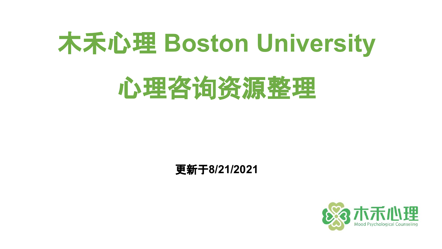# 木禾心理 **Boston University**

# 心理咨询资源整理

#### 更新于**8/21/2021**

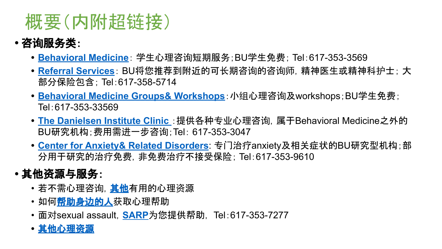### 概要(内附超链接)

- **•** 咨询服务类:
	- **• [Behavioral Medicine](#page-2-0)**: 学生心理咨询短期服务;BU学生免费; Tel:617-353-3569
	- **• [Referral Services](#page-4-0)**: BU将您推荐到附近的可长期咨询的咨询师,精神医生或精神科护士; 大 部分保险包含; Tel:617-358-5714
	- **• [Behavioral Medicine Groups& Workshops](#page-5-0)**:小组心理咨询及workshops;BU学生免费; Tel:617-353-33569
	- **• [The Danielsen Institute Clinic](#page-6-0)** :提供各种专业心理咨询,属于Behavioral Medicine之外的 BU研究机构;费用需进一步咨询;Tel: 617-353-3047
	- **• [Center for Anxiety& Related Disorders](#page-8-0)**: 专门治疗anxiety及相关症状的BU研究型机构;部 分用于研究的治疗免费,非免费治疗不接受保险; Tel:617-353-9610

#### **•** 其他资源与服务:

- 若不需心理咨询,[其他有](#page-9-0)用的心理资源
- 如何<mark>帮助身边的人</mark>获取心理帮助
- 面对sexual assault,**[SARP](#page-14-0)**为您提供帮助, Tel:617-353-7277
- **•** [其他心理](#page-15-0)资源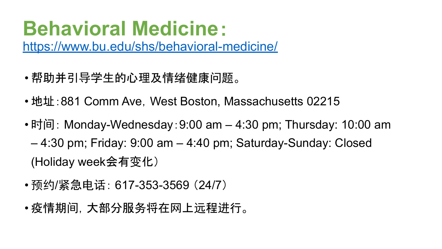### <span id="page-2-0"></span>**Behavioral Medicine**:

<https://www.bu.edu/shs/behavioral-medicine/>

- 帮助并引导学生的心理及情绪健康问题。
- 地址: 881 Comm Ave, West Boston, Massachusetts 02215
- 时间: Monday-Wednesday: 9:00 am 4:30 pm; Thursday: 10:00 am – 4:30 pm; Friday: 9:00 am – 4:40 pm; Saturday-Sunday: Closed (Holiday week会有变化)
- 预约/紧急电话: 617-353-3569 (24/7)
- 疫情期间,大部分服务将在网上远程进行。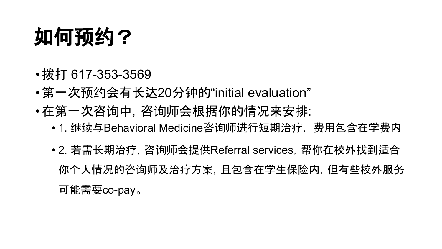## 如何预约?

- •拨打 617-353-3569
- •第一次预约会有长达20分钟的"initial evaluation"
- •在第一次咨询中,咨询师会根据你的情况来安排:
	- 1. 继续与Behavioral Medicine咨询师进行短期治疗, 费用包含在学费内
	- 2. 若需长期治疗,咨询师会提供Referral services,帮你在校外找到适合 你个人情况的咨询师及治疗方案,且包含在学生保险内,但有些校外服务 可能需要co-pay。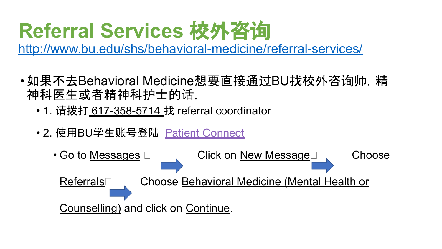## <span id="page-4-0"></span>**Referral Services** 校外咨询

<http://www.bu.edu/shs/behavioral-medicine/referral-services/>

- •如果不去Behavioral Medicine想要直接通过BU找校外咨询师,精 神科医生或者精神科护士的话,
	- 1. 请拨打 617-358-5714 找 referral coordinator
	- 2. 使用BU学生账号登陆 [Patient Connect](http://www.bu.edu/shs/getting-started/using-patient-connect/)

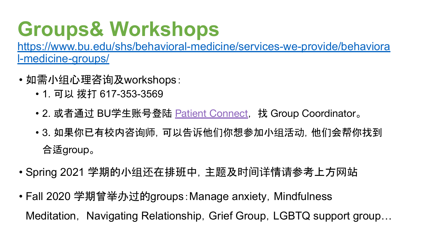## <span id="page-5-0"></span>**Groups& Workshops**

[https://www.bu.edu/shs/behavioral-medicine/services-we-provide/behaviora](https://www.bu.edu/shs/behavioral-medicine/services-we-provide/behavioral-medicine-groups/) [l-medicine-groups/](https://www.bu.edu/shs/behavioral-medicine/services-we-provide/behavioral-medicine-groups/)

- 如需小组心理咨询及workshops:
	- 1. 可以 拨打 617-353-3569
	- 2. 或者通过 BU学生账号登陆 [Patient Connect](http://patientconnect.bu.edu/), 找 Group Coordinator。
	- 3. 如果你已有校内咨询师,可以告诉他们你想参加小组活动,他们会帮你找到 合适group。
- Spring 2021 学期的小组还在排班中,主题及时间详情请参考上方网站
- Fall 2020 学期曾举办过的groups: Manage anxiety, Mindfulness Meditation, Navigating Relationship, Grief Group, LGBTQ support group...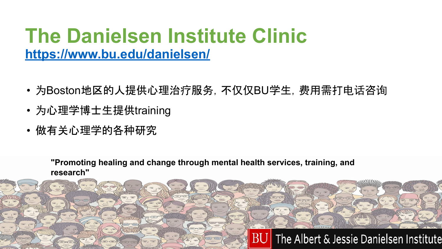### <span id="page-6-0"></span>**The Danielsen Institute Clinic <https://www.bu.edu/danielsen/>**

- 为Boston地区的人提供心理治疗服务,不仅仅BU学生,费用需打电话咨询
- 为心理学博士生提供training
- 做有关心理学的各种研究

**"Promoting healing and change through mental health services, training, and research"**

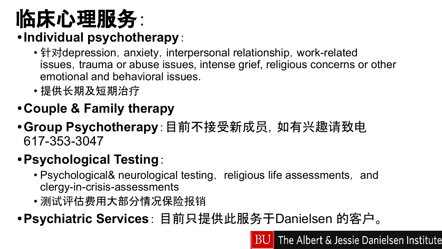# 临床心理服务:

### **•Individual psychotherapy**:

- 针对depression, anxiety, interpersonal relationship, work-related issues, trauma or abuse issues, intense grief, religious concerns or other emotional and behavioral issues.
- 提供长期及短期治疗
- **•Couple & Family therapy**
- **•Group Psychotherapy**:目前不接受新成员,如有兴趣请致电 617-353-3047

#### **•Psychological Testing**:

- Psychological& neurological testing, religious life assessments, and clergy-in-crisis-assessments
- 测试评估费用大部分情况保险报销
- **•Psychiatric Services**: 目前只提供此服务于Danielsen 的客户。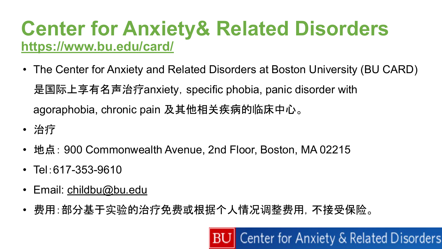### <span id="page-8-0"></span>**Center for Anxiety& Related Disorders <https://www.bu.edu/card/>**

- The Center for Anxiety and Related Disorders at Boston University (BU CARD) 是国际上享有名声治疗anxiety, specific phobia, panic disorder with agoraphobia, chronic pain 及其他相关疾病的临床中心。
- 治疗
- 地点: 900 Commonwealth Avenue, 2nd Floor, Boston, MA 02215
- Tel:617-353-9610
- Email: [childbu@bu.edu](mailto:childbu@bu.edu)
- 费用:部分基于实验的治疗免费或根据个人情况调整费用,不接受保险。

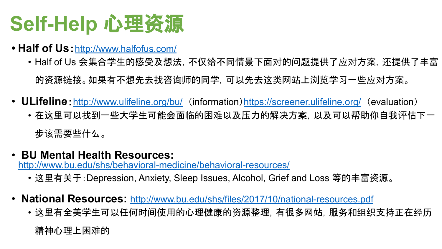## <span id="page-9-0"></span>**Self-Help** 心理资源

- Half of Us: <http://www.halfofus.com/>
	- Half of Us 会集合学生的感受及想法,不仅给不同情景下面对的问题提供了应对方案,还提供了丰富 的资源链接。如果有不想先去找咨询师的同学,可以先去这类网站上浏览学习一些应对方案。
- **ULifeline**: <http://www.ulifeline.org/bu/>(information) <https://screener.ulifeline.org/> (evaluation)
	- 在这里可以找到一些大学生可能会面临的困难以及压力的解决方案,以及可以帮助你自我评估下一 步该需要些什么。
- **BU Mental Health Resources:**

<http://www.bu.edu/shs/behavioral-medicine/behavioral-resources/>

- 这里有关于:Depression, Anxiety, Sleep Issues, Alcohol, Grief and Loss 等的丰富资源。
- **National Resources:** <http://www.bu.edu/shs/files/2017/10/national-resources.pdf>
	- 这里有全美学生可以任何时间使用的心理健康的资源整理, 有很多网站, 服务和组织支持正在经历

精神心理上困难的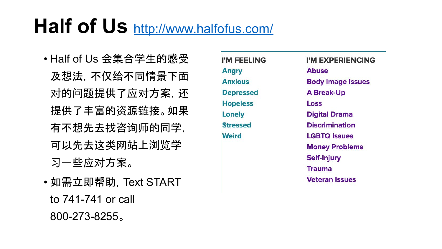### **Half of Us** <http://www.halfofus.com/>

- Half of Us 会集合学生的感受 及想法,不仅给不同情景下面 对的问题提供了应对方案,还 提供了丰富的资源链接。如果 有不想先去找咨询师的同学, 可以先去这类网站上浏览学 习一些应对方案。
- 如需立即帮助,Text START to 741-741 or call 800-273-8255。

I'M FEELING **Angry Anxious Depressed Hopeless** Lonely **Stressed Weird** 

I'M EXPERIENCING **Abuse Body Image Issues A Break-Up** Loss **Digital Drama Discrimination LGBTO Issues Money Problems Self-Injury Trauma Veteran Issues**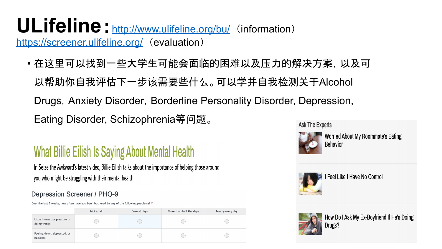#### ULifeline: <http://www.ulifeline.org/bu/>(information) <https://screener.ulifeline.org/> (evaluation)

• 在这里可以找到一些大学生可能会面临的困难以及压力的解决方案,以及可 以帮助你自我评估下一步该需要些什么。可以学并自我检测关于Alcohol Drugs, Anxiety Disorder, Borderline Personality Disorder, Depression, Eating Disorder, Schizophrenia等问题。

### What Billie Eilish Is Saying About Mental Health

In Seize the Awkward's latest video, Billie Eilish talks about the importance of helping those around you who might be struggling with their mental health.

#### **Depression Screener / PHQ-9**

Over the last 2 weeks, how often have you been bothered by any of the following problems? \*

|                                                | Not at all | Several days | More than half the days | Nearly every day |
|------------------------------------------------|------------|--------------|-------------------------|------------------|
| Little interest or pleasure in<br>doing things |            |              |                         |                  |
| Feeling down, depressed, or<br>hopeless        |            |              |                         |                  |

**Ask The Experts** 



**Worried About My Roommate's Eating Behavior** 



I Feel Like I Have No Control



How Do I Ask My Ex-Boyfriend If He's Doing Drugs?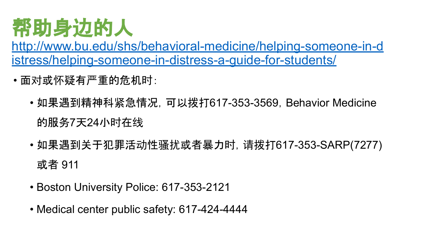# <span id="page-12-0"></span>帮助身边的人

[http://www.bu.edu/shs/behavioral-medicine/helping-someone-in-d](http://www.bu.edu/shs/behavioral-medicine/helping-someone-in-distress/helping-someone-in-distress-a-guide-for-students/) [istress/helping-someone-in-distress-a-guide-for-students/](http://www.bu.edu/shs/behavioral-medicine/helping-someone-in-distress/helping-someone-in-distress-a-guide-for-students/)

- 面对或怀疑有严重的危机时:
	- 如果遇到精神科紧急情况, 可以拨打617-353-3569, Behavior Medicine 的服务7天24小时在线
	- 如果遇到关于犯罪活动性骚扰或者暴力时,请拨打617-353-SARP(7277) 或者 911
	- Boston University Police: 617-353-2121
	- Medical center public safety: 617-424-4444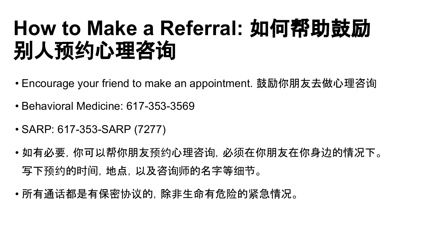## **How to Make a Referral:** 如何帮助鼓励 别人预约心理咨询

- Encourage your friend to make an appointment. 鼓励你朋友去做心理咨询
- Behavioral Medicine: 617-353-3569
- SARP: 617-353-SARP (7277)
- 如有必要,你可以帮你朋友预约心理咨询,必须在你朋友在你身边的情况下。 写下预约的时间,地点,以及咨询师的名字等细节。
- 所有通话都是有保密协议的,除非生命有危险的紧急情况。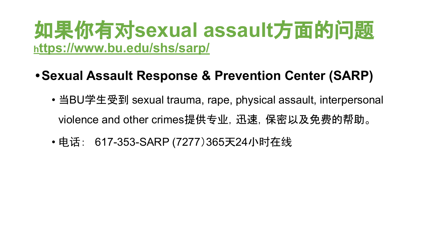### <span id="page-14-0"></span>如果你有对**sexual assault**方面的问题 **h[ttps://www.bu.edu/shs/sarp/](https://www.bu.edu/shs/sarp/)**

- **•Sexual Assault Response & Prevention Center (SARP)** 
	- 当BU学生受到 sexual trauma, rape, physical assault, interpersonal violence and other crimes提供专业, 迅速, 保密以及免费的帮助。
	- 电话: 617-353-SARP (7277)365天24小时在线